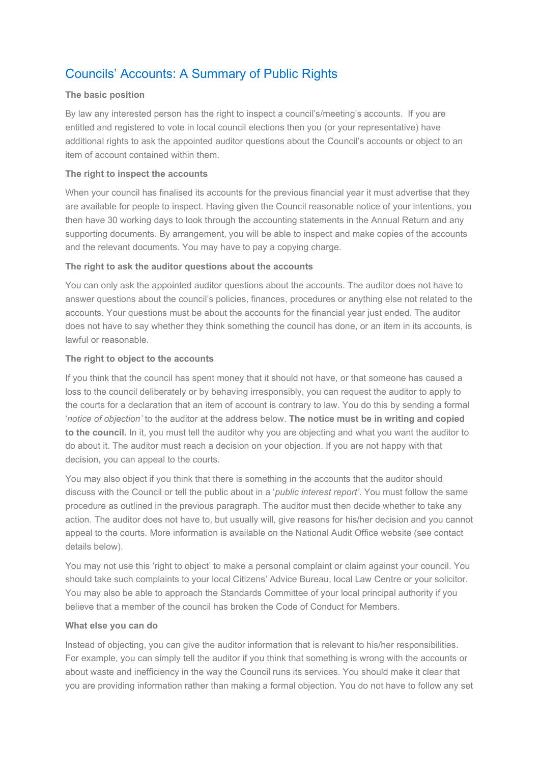# Councils' Accounts: A Summary of Public Rights

#### The basic position

By law any interested person has the right to inspect a council's/meeting's accounts. If you are entitled and registered to vote in local council elections then you (or your representative) have additional rights to ask the appointed auditor questions about the Council's accounts or object to an item of account contained within them.

### The right to inspect the accounts

When your council has finalised its accounts for the previous financial year it must advertise that they are available for people to inspect. Having given the Council reasonable notice of your intentions, you then have 30 working days to look through the accounting statements in the Annual Return and any supporting documents. By arrangement, you will be able to inspect and make copies of the accounts and the relevant documents. You may have to pay a copying charge.

### The right to ask the auditor questions about the accounts

You can only ask the appointed auditor questions about the accounts. The auditor does not have to answer questions about the council's policies, finances, procedures or anything else not related to the accounts. Your questions must be about the accounts for the financial year just ended. The auditor does not have to say whether they think something the council has done, or an item in its accounts, is lawful or reasonable.

### The right to object to the accounts

If you think that the council has spent money that it should not have, or that someone has caused a loss to the council deliberately or by behaving irresponsibly, you can request the auditor to apply to the courts for a declaration that an item of account is contrary to law. You do this by sending a formal 'notice of objection' to the auditor at the address below. The notice must be in writing and copied to the council. In it, you must tell the auditor why you are objecting and what you want the auditor to do about it. The auditor must reach a decision on your objection. If you are not happy with that decision, you can appeal to the courts.

You may also object if you think that there is something in the accounts that the auditor should discuss with the Council or tell the public about in a '*public interest report'*. You must follow the same procedure as outlined in the previous paragraph. The auditor must then decide whether to take any action. The auditor does not have to, but usually will, give reasons for his/her decision and you cannot appeal to the courts. More information is available on the National Audit Office website (see contact details below).

You may not use this 'right to object' to make a personal complaint or claim against your council. You should take such complaints to your local Citizens' Advice Bureau, local Law Centre or your solicitor. You may also be able to approach the Standards Committee of your local principal authority if you believe that a member of the council has broken the Code of Conduct for Members.

#### What else you can do

Instead of objecting, you can give the auditor information that is relevant to his/her responsibilities. For example, you can simply tell the auditor if you think that something is wrong with the accounts or about waste and inefficiency in the way the Council runs its services. You should make it clear that you are providing information rather than making a formal objection. You do not have to follow any set